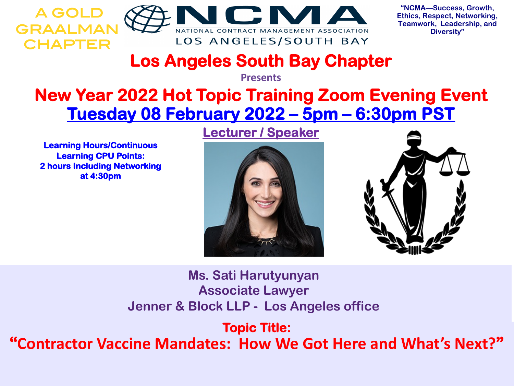

**"NCMA—Success, Growth, Ethics, Respect, Networking, Teamwork, Leadership, and Diversity"**

## **Los Angeles South Bay Chapter**

**Presents**

## **New Year 2022 Hot Topic Training Zoom Evening Event Tuesday 08 February 2022 – 5pm – 6:30pm PST**

**Learning Hours/Continuous Learning CPU Points: 2 hours Including Networking at 4:30pm**

## **Lecturer / Speaker**





**Ms. Sati Harutyunyan Associate Lawyer Jenner & Block LLP - Los Angeles office**

**Topic Title:**

**"Contractor Vaccine Mandates: How We Got Here and What's Next?"**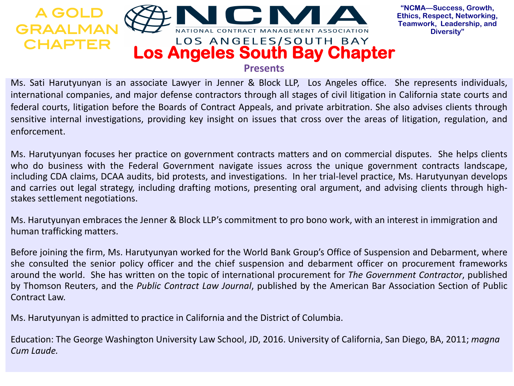

**"NCMA—Success, Growth, Ethics, Respect, Networking, Teamwork, Leadership, and Diversity"**

Ms. Sati Harutyunyan is an associate Lawyer in Jenner & Block LLP, Los Angeles office. She represents individuals, international companies, and major defense contractors through all stages of civil litigation in California state courts and federal courts, litigation before the Boards of Contract Appeals, and private arbitration. She also advises clients through sensitive internal investigations, providing key insight on issues that cross over the areas of litigation, regulation, and enforcement.

Ms. Harutyunyan focuses her practice on government contracts matters and on commercial disputes. She helps clients who do business with the Federal Government navigate issues across the unique government contracts landscape, including CDA claims, DCAA audits, bid protests, and investigations. In her trial-level practice, Ms. Harutyunyan develops and carries out legal strategy, including drafting motions, presenting oral argument, and advising clients through highstakes settlement negotiations.

Ms. Harutyunyan embraces the Jenner & Block LLP's commitment to pro bono work, with an interest in immigration and human trafficking matters.

Before joining the firm, Ms. Harutyunyan worked for the World Bank Group's Office of Suspension and Debarment, where she consulted the senior policy officer and the chief suspension and debarment officer on procurement frameworks around the world. She has written on the topic of international procurement for *The Government Contractor*, published by Thomson Reuters, and the *Public Contract Law Journal*, published by the American Bar Association Section of Public Contract Law.

Ms. Harutyunyan is admitted to practice in California and the District of Columbia.

Education: The George Washington University Law School, JD, 2016. University of California, San Diego, BA, 2011; *magna Cum Laude.*